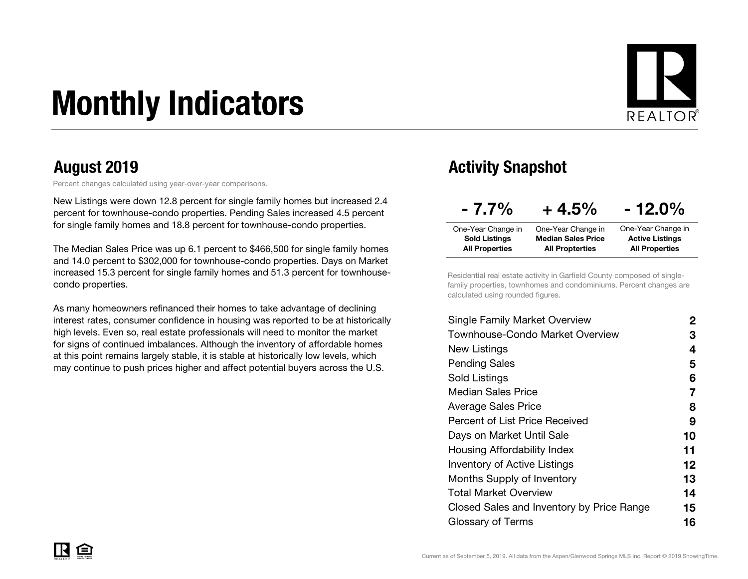# Monthly Indicators



Percent changes calculated using year-over-year comparisons.

New Listings were down 12.8 percent for single family homes but increased 2.4 percent for townhouse-condo properties. Pending Sales increased 4.5 percent for single family homes and 18.8 percent for townhouse-condo properties.

The Median Sales Price was up 6.1 percent to \$466,500 for single family homes and 14.0 percent to \$302,000 for townhouse-condo properties. Days on Market increased 15.3 percent for single family homes and 51.3 percent for townhousecondo properties.

As many homeowners refinanced their homes to take advantage of declining interest rates, consumer confidence in housing was reported to be at historically high levels. Even so, real estate professionals will need to monitor the market for signs of continued imbalances. Although the inventory of affordable homes at this point remains largely stable, it is stable at historically low levels, which may continue to push prices higher and affect potential buyers across the U.S.

#### August 2019 **August 2019** Activity Snapshot

| $-7.7\%$              | $+4.5%$                   | $-12.0\%$              |
|-----------------------|---------------------------|------------------------|
| One-Year Change in    | One-Year Change in        | One-Year Change in     |
| <b>Sold Listings</b>  | <b>Median Sales Price</b> | <b>Active Listings</b> |
| <b>All Properties</b> | <b>All Propterties</b>    | <b>All Properties</b>  |

Residential real estate activity in Garfield County composed of singlefamily properties, townhomes and condominiums. Percent changes are calculated using rounded figures.

| Single Family Market Overview             | 2                 |
|-------------------------------------------|-------------------|
| Townhouse-Condo Market Overview           | З                 |
| New Listings                              | 4                 |
| <b>Pending Sales</b>                      | 5                 |
| Sold Listings                             | 6                 |
| <b>Median Sales Price</b>                 | 7                 |
| Average Sales Price                       | 8                 |
| <b>Percent of List Price Received</b>     | 9                 |
| Days on Market Until Sale                 | 10                |
| Housing Affordability Index               | 11                |
| <b>Inventory of Active Listings</b>       | $12 \ \mathsf{ }$ |
| <b>Months Supply of Inventory</b>         | 13                |
| Total Market Overview                     | 14                |
| Closed Sales and Inventory by Price Range | 15                |
| Glossary of Terms                         | 16                |
|                                           |                   |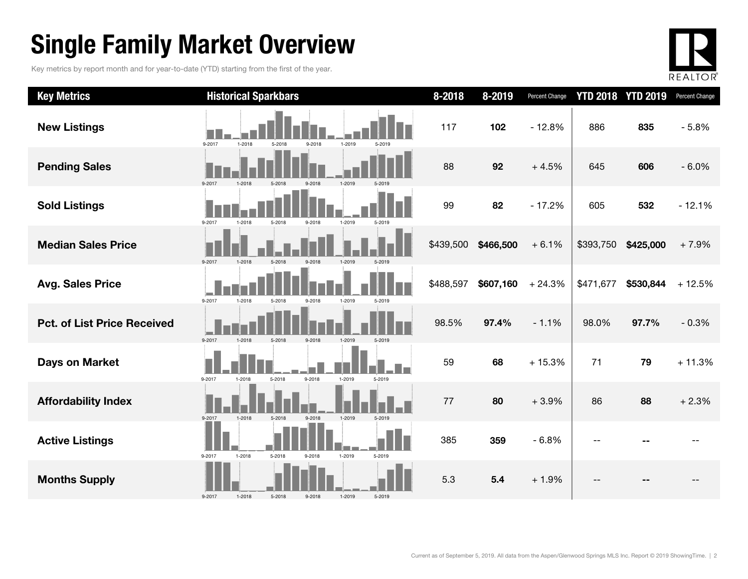### Single Family Market Overview

Key metrics by report month and for year-to-date (YTD) starting from the first of the year.



| <b>Key Metrics</b>                 | <b>Historical Sparkbars</b>                                  | 8-2018    | 8-2019    | Percent Change |           | <b>YTD 2018 YTD 2019</b> | Percent Change |
|------------------------------------|--------------------------------------------------------------|-----------|-----------|----------------|-----------|--------------------------|----------------|
| <b>New Listings</b>                | $1 - 2018$<br>9-2017<br>9-2018<br>1-2019<br>5-2018<br>5-2019 | 117       | 102       | $-12.8%$       | 886       | 835                      | $-5.8%$        |
| <b>Pending Sales</b>               | 9-2017<br>1-2018<br>5-2018<br>9-2018<br>1-2019               | 88        | 92        | $+4.5%$        | 645       | 606                      | $-6.0%$        |
| <b>Sold Listings</b>               | 9-2017<br>1-2018<br>5-2018<br>9-2018<br>1-2019<br>5-2019     | 99        | 82        | $-17.2%$       | 605       | 532                      | $-12.1%$       |
| <b>Median Sales Price</b>          | 9-2017<br>1-2018<br>5-2018<br>9-2018<br>1-2019<br>5-2019     | \$439,500 | \$466,500 | $+6.1%$        | \$393,750 | \$425,000                | $+7.9%$        |
| <b>Avg. Sales Price</b>            | 9-2017<br>1-2018<br>5-2018<br>$9 - 2018$<br>1-2019<br>5-2019 | \$488,597 | \$607,160 | $+24.3%$       | \$471,677 | \$530,844                | $+12.5%$       |
| <b>Pct. of List Price Received</b> | 9-2017<br>1-2018<br>5-2018<br>1-2019<br>5-2019<br>9-2018     | 98.5%     | 97.4%     | $-1.1%$        | 98.0%     | 97.7%                    | $-0.3%$        |
| <b>Days on Market</b>              | 9-2017<br>5-2018<br>9-2018<br>1-2019<br>$1 - 2018$<br>5-2019 | 59        | 68        | $+15.3%$       | 71        | 79                       | $+11.3%$       |
| <b>Affordability Index</b>         | 9-2018<br>9-2017<br>1-2018<br>5-2018<br>1-2019<br>5-2019     | 77        | 80        | $+3.9%$        | 86        | 88                       | $+2.3%$        |
| <b>Active Listings</b>             | 1-2018<br>5-2018<br>1-2019<br>9-2017<br>5-2019<br>9-2018     | 385       | 359       | $-6.8%$        |           |                          |                |
| <b>Months Supply</b>               | 1-2019<br>5-2019<br>9-2017<br>1-2018<br>5-2018<br>9-2018     | 5.3       | 5.4       | $+1.9%$        |           |                          |                |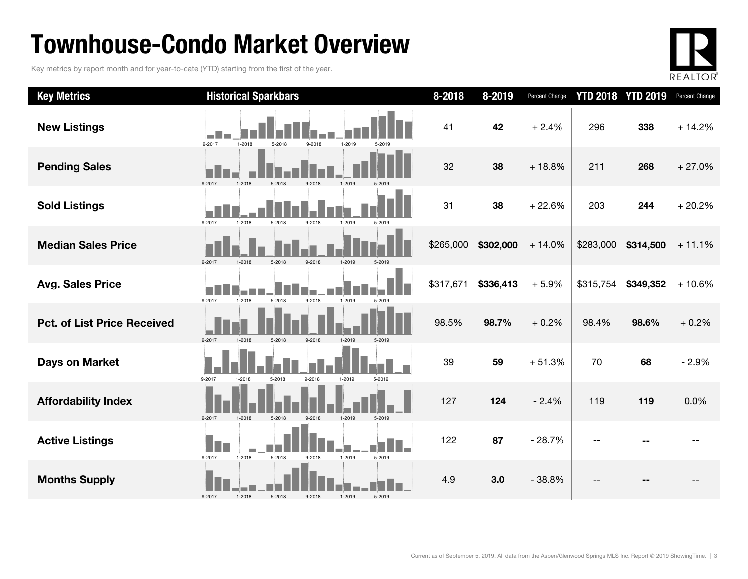### Townhouse-Condo Market Overview

Key metrics by report month and for year-to-date (YTD) starting from the first of the year.



| <b>Key Metrics</b>                 | <b>Historical Sparkbars</b>                                  | 8-2018    | 8-2019    | <b>Percent Change</b> | <b>YTD 2018 YTD 2019</b> |           | Percent Change |
|------------------------------------|--------------------------------------------------------------|-----------|-----------|-----------------------|--------------------------|-----------|----------------|
| <b>New Listings</b>                | 9-2017<br>1-2018<br>5-2018<br>9-2018<br>1-2019               | 41        | 42        | $+2.4%$               | 296                      | 338       | $+14.2%$       |
| <b>Pending Sales</b>               | 9-2017                                                       | 32        | 38        | $+18.8%$              | 211                      | 268       | $+27.0%$       |
| <b>Sold Listings</b>               | $9 - 2017$<br>1-2018<br>5-2018<br>9-2018<br>1-2019<br>5-2019 | 31        | 38        | $+22.6%$              | 203                      | 244       | $+20.2%$       |
| <b>Median Sales Price</b>          | 9-2017<br>5-2018<br>1-2018<br>$9 - 2018$<br>1-2019<br>5-2019 | \$265,000 | \$302,000 | $+14.0%$              | \$283,000                | \$314,500 | $+11.1%$       |
| <b>Avg. Sales Price</b>            | $9 - 2017$<br>1-2018<br>9-2018<br>1-2019<br>5-2018<br>5-2019 | \$317,671 | \$336,413 | $+5.9%$               | \$315,754                | \$349,352 | $+10.6%$       |
| <b>Pct. of List Price Received</b> | 9-2017<br>1-2018<br>5-2018<br>9-2018                         | 98.5%     | 98.7%     | $+0.2%$               | 98.4%                    | 98.6%     | $+0.2%$        |
| <b>Days on Market</b>              | 9-2017<br>1-2018<br>5-2018<br>9-2018<br>1-2019<br>5-2019     | 39        | 59        | $+51.3%$              | 70                       | 68        | $-2.9%$        |
| <b>Affordability Index</b>         | 9-2017<br>$1 - 2018$<br>5-2018<br>1-2019<br>9-2018<br>5-2019 | 127       | 124       | $-2.4%$               | 119                      | 119       | 0.0%           |
| <b>Active Listings</b>             | 9-2017<br>$1 - 2018$<br>5-2018<br>9-2018<br>1-2019<br>5-2019 | 122       | 87        | $-28.7%$              |                          |           |                |
| <b>Months Supply</b>               | 5-2019<br>9-2017<br>1-2018<br>5-2018<br>$9 - 2018$<br>1-2019 | 4.9       | 3.0       | $-38.8%$              |                          |           |                |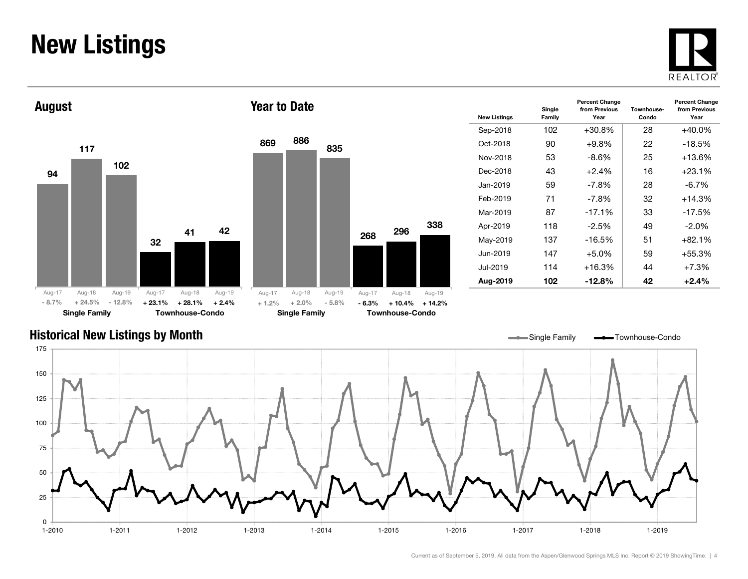#### New Listings







| <b>New Listings</b> | Single<br>Family | <b>Percent Change</b><br>from Previous<br>Year | Townhouse-<br>Condo | <b>Percent Change</b><br>from Previous<br>Year |
|---------------------|------------------|------------------------------------------------|---------------------|------------------------------------------------|
| Sep-2018            | 102              | $+30.8%$                                       | 28                  | $+40.0\%$                                      |
| Oct-2018            | 90               | $+9.8%$                                        | 22                  | $-18.5%$                                       |
| Nov-2018            | 53               | -8.6%                                          | 25                  | +13.6%                                         |
| Dec-2018            | 43               | $+2.4%$                                        | 16                  | $+23.1%$                                       |
| Jan-2019            | 59               | $-7.8\%$                                       | 28                  | $-6.7%$                                        |
| Feb-2019            | 71               | $-7.8\%$                                       | 32                  | $+14.3%$                                       |
| Mar-2019            | 87               | $-17.1%$                                       | 33                  | $-17.5%$                                       |
| Apr-2019            | 118              | $-2.5%$                                        | 49                  | $-2.0\%$                                       |
| May-2019            | 137              | $-16.5%$                                       | 51                  | $+82.1%$                                       |
| Jun-2019            | 147              | $+5.0\%$                                       | 59                  | +55.3%                                         |
| Jul-2019            | 114              | $+16.3%$                                       | 44                  | $+7.3%$                                        |
| Aug-2019            | 102              | $-12.8\%$                                      | 42                  | $+2.4%$                                        |

#### Historical New Listings by Month



Current as of September 5, 2019. All data from the Aspen/Glenwood Springs MLS Inc. Report © 2019 ShowingTime. | 4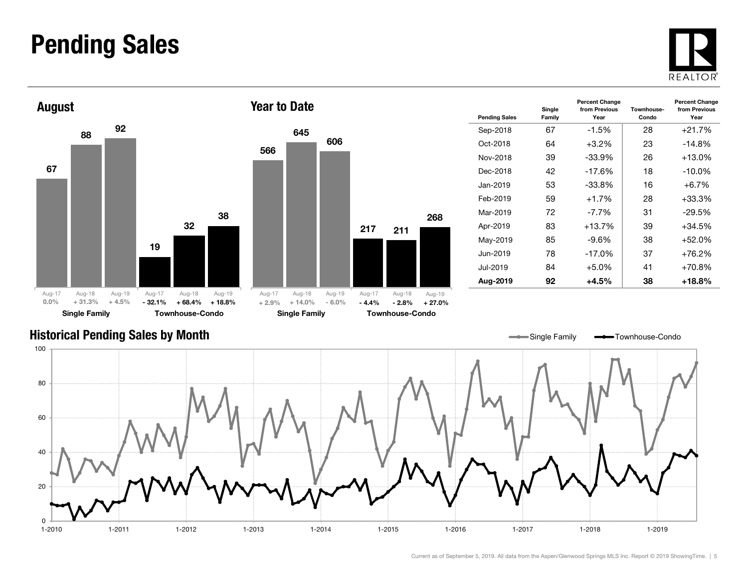#### Pending Sales







| <b>Pending Sales</b> | Single<br>Family | <b>Percent Change</b><br>from Previous<br>Year | Townhouse-<br>Condo | <b>Percent Change</b><br>from Previous<br>Year |
|----------------------|------------------|------------------------------------------------|---------------------|------------------------------------------------|
| Sep-2018             | 67               | $-1.5\%$                                       | 28                  | $+21.7%$                                       |
| Oct-2018             | 64               | +3.2%                                          | 23                  | $-14.8%$                                       |
| Nov-2018             | 39               | $-33.9%$                                       | 26                  | $+13.0%$                                       |
| Dec-2018             | 42               | $-17.6%$                                       | 18                  | $-10.0\%$                                      |
| Jan-2019             | 53               | $-33.8%$                                       | 16                  | $+6.7\%$                                       |
| Feb-2019             | 59               | $+1.7%$                                        | 28                  | $+33.3%$                                       |
| Mar-2019             | 72               | $-7.7\%$                                       | 31                  | -29.5%                                         |
| Apr-2019             | 83               | $+13.7%$                                       | 39                  | $+34.5%$                                       |
| May-2019             | 85               | $-9.6\%$                                       | 38                  | $+52.0%$                                       |
| Jun-2019             | 78               | $-17.0\%$                                      | 37                  | $+76.2%$                                       |
| Jul-2019.            | 84               | $+5.0%$                                        | 41                  | $+70.8%$                                       |
| Aug-2019             | 92               | +4.5%                                          | 38                  | +18.8%                                         |

Single Family **-**Townhouse-Condo

#### Historical Pending Sales by Month

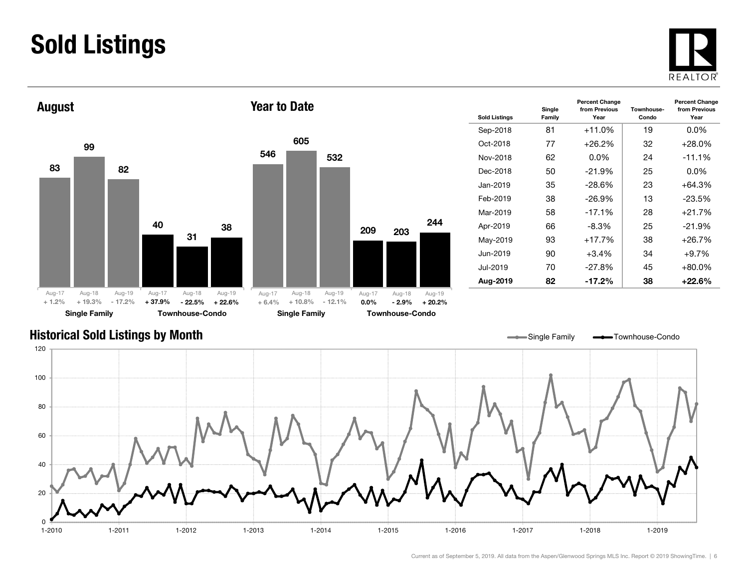### Sold Listings





| <b>Sold Listings</b> | Single<br>Family | <b>Percent Change</b><br>from Previous<br>Year | Townhouse-<br>Condo | <b>Percent Change</b><br>from Previous<br>Year |
|----------------------|------------------|------------------------------------------------|---------------------|------------------------------------------------|
| Sep-2018             | 81               | $+11.0%$                                       | 19                  | $0.0\%$                                        |
| Oct-2018             | 77               | $+26.2%$                                       | 32                  | $+28.0\%$                                      |
| Nov-2018             | 62               | $0.0\%$                                        | 24                  | $-11.1%$                                       |
| Dec-2018             | 50               | $-21.9%$                                       | 25                  | $0.0\%$                                        |
| Jan-2019             | 35               | $-28.6\%$                                      | 23                  | $+64.3%$                                       |
| Feb-2019             | 38               | $-26.9\%$                                      | 13                  | $-23.5\%$                                      |
| Mar-2019             | 58               | $-17.1%$                                       | 28                  | $+21.7%$                                       |
| Apr-2019             | 66               | $-8.3%$                                        | 25                  | $-21.9%$                                       |
| May-2019             | 93               | $+17.7%$                                       | 38                  | $+26.7%$                                       |
| Jun-2019             | 90               | $+3.4\%$                                       | 34                  | $+9.7%$                                        |
| .Jul-2019            | 70               | $-27.8%$                                       | 45                  | $+80.0\%$                                      |
| Aug-2019             | 82               | -17.2%                                         | 38                  | $+22.6%$                                       |

#### Historical Sold Listings by Month



244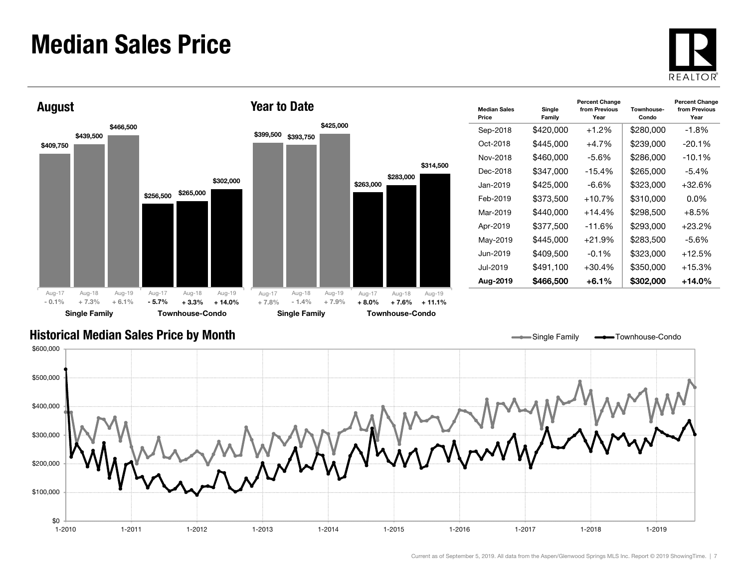#### Median Sales Price





| <b>Median Sales</b><br>Price | Single<br>Family | <b>Percent Change</b><br>from Previous<br>Year | Townhouse-<br>Condo | <b>Percent Change</b><br>from Previous<br>Year |
|------------------------------|------------------|------------------------------------------------|---------------------|------------------------------------------------|
| Sep-2018                     | \$420,000        | $+1.2%$                                        | \$280,000           | -1.8%                                          |
| Oct-2018                     | \$445.000        | $+4.7%$                                        | \$239,000           | $-20.1%$                                       |
| Nov-2018                     | \$460,000        | -5.6%                                          | \$286,000           | $-10.1\%$                                      |
| Dec-2018                     | \$347.000        | $-15.4%$                                       | \$265,000           | $-5.4\%$                                       |
| Jan-2019.                    | \$425.000        | -6.6%                                          | \$323,000           | +32.6%                                         |
| Feb-2019                     | \$373,500        | $+10.7\%$                                      | \$310,000           | $0.0\%$                                        |
| Mar-2019                     | \$440,000        | $+14.4%$                                       | \$298,500           | $+8.5\%$                                       |
| Apr-2019                     | \$377,500        | $-11.6%$                                       | \$293,000           | +23.2%                                         |
| May-2019                     | \$445,000        | $+21.9%$                                       | \$283,500           | $-5.6%$                                        |
| Jun-2019                     | \$409,500        | $-0.1\%$                                       | \$323,000           | +12.5%                                         |
| Jul-2019                     | \$491,100        | $+30.4%$                                       | \$350,000           | +15.3%                                         |
| Aug-2019                     | \$466,500        | $+6.1\%$                                       | \$302,000           | +14.0%                                         |

Single Family **-** Townhouse-Condo

#### Historical Median Sales Price by Month

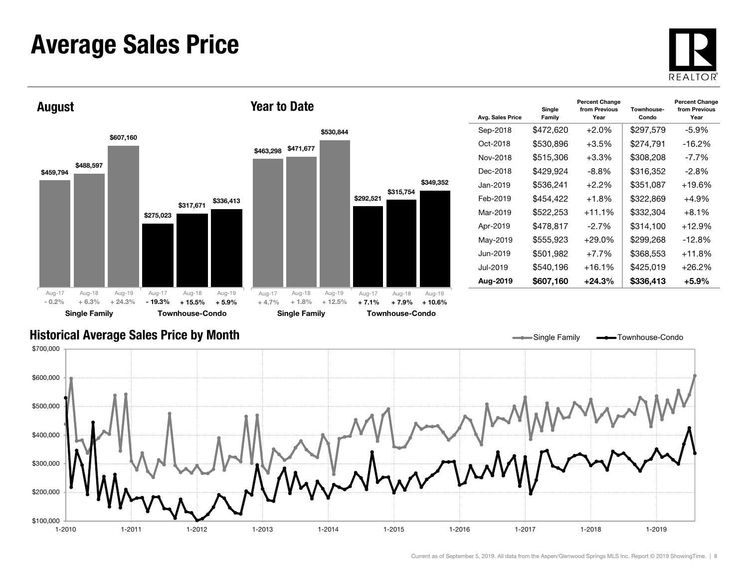#### Average Sales Price





| Avg. Sales Price | Single<br>Family | <b>Percent Change</b><br>from Previous<br>Year | Townhouse-<br>Condo | <b>Percent Change</b><br>from Previous<br>Year |
|------------------|------------------|------------------------------------------------|---------------------|------------------------------------------------|
| Sep-2018         | \$472,620        | $+2.0\%$                                       | \$297,579           | -5.9%                                          |
| Oct-2018         | \$530,896        | $+3.5%$                                        | \$274,791           | $-16.2%$                                       |
| Nov-2018         | \$515,306        | $+3.3\%$                                       | \$308,208           | -7.7%                                          |
| Dec-2018         | \$429,924        | -8.8%                                          | \$316,352           | $-2.8\%$                                       |
| Jan-2019.        | \$536,241        | $+2.2%$                                        | \$351,087           | $+19.6%$                                       |
| Feb-2019         | \$454,422        | $+1.8\%$                                       | \$322,869           | $+4.9\%$                                       |
| Mar-2019         | \$522,253        | $+11.1%$                                       | \$332,304           | $+8.1%$                                        |
| Apr-2019         | \$478,817        | $-2.7%$                                        | \$314,100           | $+12.9%$                                       |
| May-2019         | \$555,923        | $+29.0\%$                                      | \$299,268           | $-12.8\%$                                      |
| Jun-2019.        | \$501,982        | $+7.7\%$                                       | \$368,553           | $+11.8\%$                                      |
| Jul-2019         | \$540,196        | $+16.1%$                                       | \$425,019           | $+26.2%$                                       |
| Aug-2019         | \$607,160        | $+24.3%$                                       | \$336,413           | +5.9%                                          |

Single Family **-**Townhouse-Condo

#### Historical Average Sales Price by Month

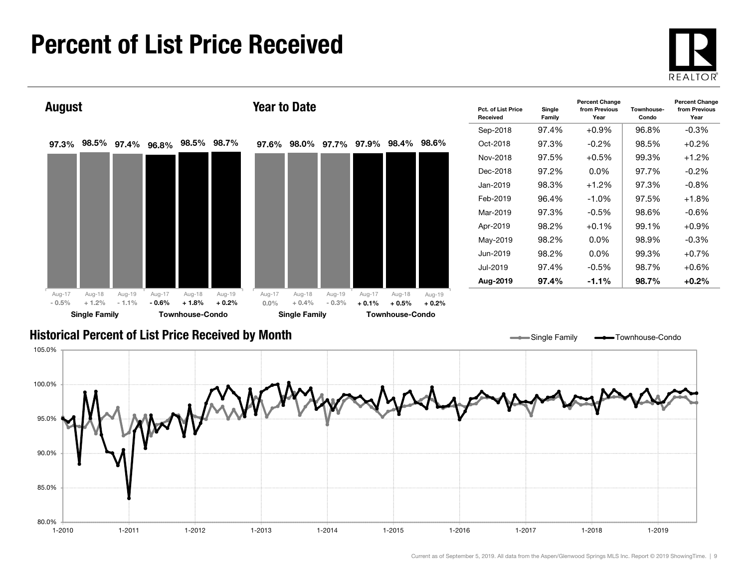#### Percent of List Price Received

80.0%

85.0%

90.0%





1-2010 1-2011 1-2012 1-2013 1-2014 1-2015 1-2016 1-2017 1-2018 1-2019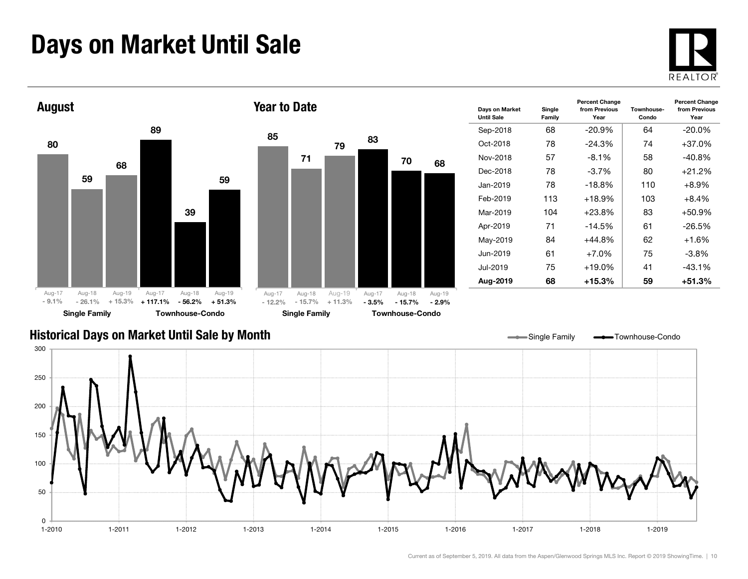### Days on Market Until Sale





|                |                    |                    |                   |                    |                   | Until Sa |
|----------------|--------------------|--------------------|-------------------|--------------------|-------------------|----------|
| 85             |                    |                    |                   |                    |                   | Sep-2    |
|                |                    | 79                 | 83                |                    |                   | Oct-2    |
|                | 71                 |                    |                   | 70                 | 68                | Nov-2    |
|                |                    |                    |                   |                    |                   | Dec-2    |
|                |                    |                    |                   |                    |                   | Jan-2    |
|                |                    |                    |                   |                    |                   | Feb-2    |
|                |                    |                    |                   |                    |                   | Mar-2    |
|                |                    |                    |                   |                    |                   | Apr-2    |
|                |                    |                    |                   |                    |                   | May-2    |
|                |                    |                    |                   |                    |                   | Jun-2    |
|                |                    |                    |                   |                    |                   | $Jul-20$ |
|                |                    |                    |                   |                    |                   | Aug-2    |
| ug-17<br>12.2% | Aug-18<br>$-15.7%$ | Aug-19<br>$+11.3%$ | Aug-17<br>$-3.5%$ | Aug-18<br>$-15.7%$ | Aug-19<br>$-2.9%$ |          |
|                |                    |                    |                   |                    |                   |          |

| Days on Market<br><b>Until Sale</b> | Single<br>Family | <b>Percent Change</b><br>from Previous<br>Year | Townhouse-<br>Condo | <b>Percent Change</b><br>from Previous<br>Year |
|-------------------------------------|------------------|------------------------------------------------|---------------------|------------------------------------------------|
| Sep-2018                            | 68               | $-20.9%$                                       | 64                  | $-20.0\%$                                      |
| Oct-2018                            | 78               | $-24.3%$                                       | 74                  | $+37.0%$                                       |
| Nov-2018                            | 57               | $-8.1\%$                                       | 58                  | $-40.8%$                                       |
| Dec-2018                            | 78               | $-3.7\%$                                       | 80                  | $+21.2%$                                       |
| Jan-2019                            | 78               | $-18.8%$                                       | 110                 | $+8.9%$                                        |
| Feb-2019                            | 113              | $+18.9%$                                       | 103                 | $+8.4\%$                                       |
| Mar-2019                            | 104              | $+23.8%$                                       | 83                  | $+50.9%$                                       |
| Apr-2019                            | 71               | $-14.5%$                                       | 61                  | $-26.5%$                                       |
| May-2019                            | 84               | $+44.8%$                                       | 62                  | $+1.6%$                                        |
| Jun-2019                            | 61               | $+7.0%$                                        | 75                  | $-3.8\%$                                       |
| Jul-2019                            | 75               | $+19.0%$                                       | 41                  | $-43.1%$                                       |
| Aug-2019                            | 68               | +15.3%                                         | 59                  | $+51.3%$                                       |

#### Historical Days on Market Until Sale by Month

Single Family **-** Townhouse-Condo

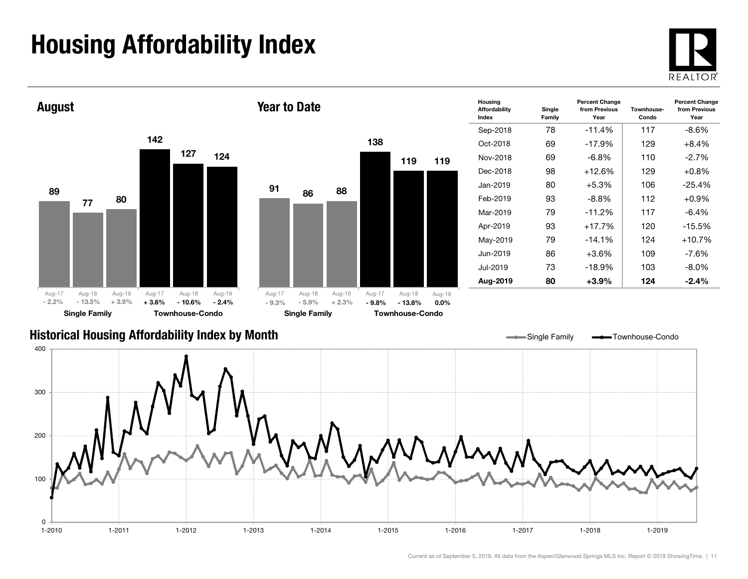## Housing Affordability Index

 $\Omega$ 





1-2010 1-2011 1-2012 1-2013 1-2014 1-2015 1-2016 1-2017 1-2018 1-2019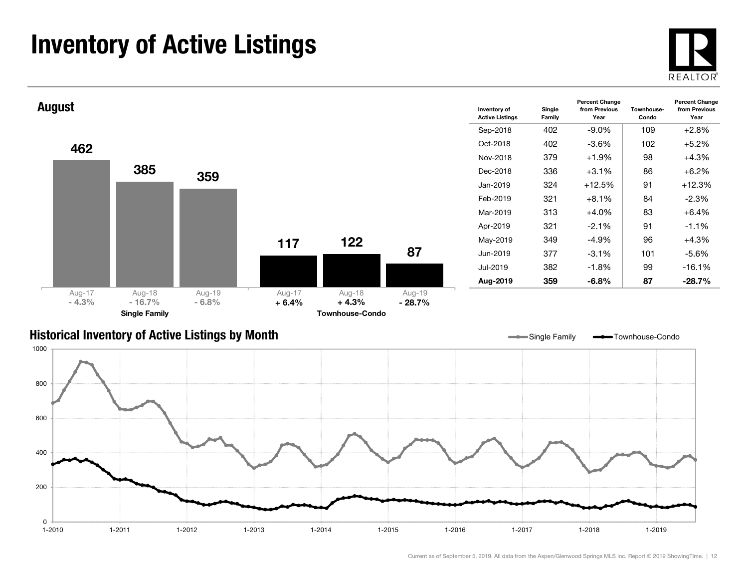### Inventory of Active Listings





#### Historical Inventory of Active Listings by Month



Single Family **-** Townhouse-Condo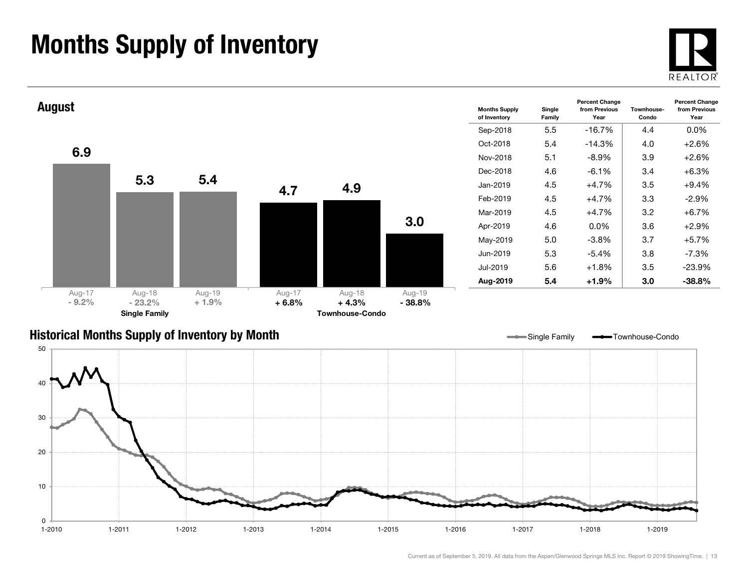### Months Supply of Inventory





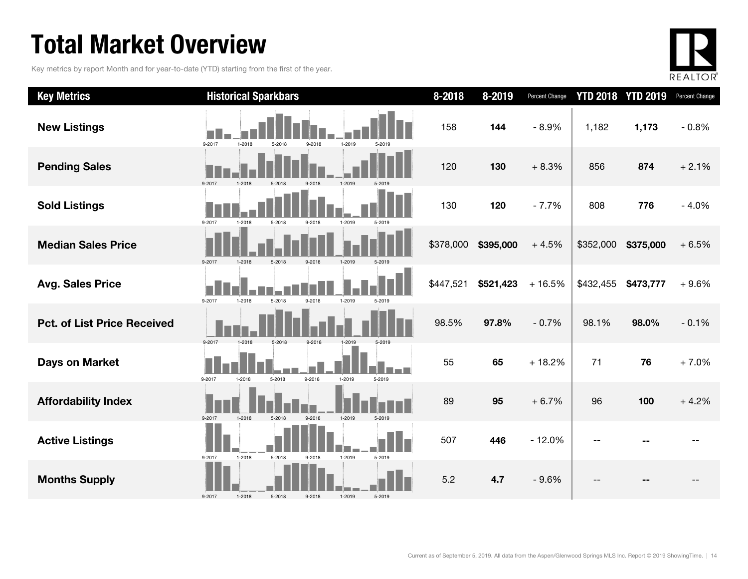### Total Market Overview

Key metrics by report Month and for year-to-date (YTD) starting from the first of the year.



| <b>Key Metrics</b>                 | <b>Historical Sparkbars</b>                                  | 8-2018    | 8-2019    | Percent Change |           | <b>YTD 2018 YTD 2019</b> | Percent Change |
|------------------------------------|--------------------------------------------------------------|-----------|-----------|----------------|-----------|--------------------------|----------------|
| <b>New Listings</b>                | 9-2017<br>$1 - 2018$<br>1-2019<br>5-2018<br>9-2018<br>5-2019 | 158       | 144       | $-8.9%$        | 1,182     | 1,173                    | $-0.8%$        |
| <b>Pending Sales</b>               | 9-2017<br>1-2019<br>1-2018<br>5-2018<br>9-2018               | 120       | 130       | $+8.3%$        | 856       | 874                      | $+2.1%$        |
| <b>Sold Listings</b>               | 9-2017<br>1-2018<br>5-2018<br>9-2018<br>1-2019<br>5-2019     | 130       | 120       | $-7.7%$        | 808       | 776                      | $-4.0%$        |
| <b>Median Sales Price</b>          | 9-2017<br>5-2018<br>9-2018<br>1-2019<br>1-2018<br>5-2019     | \$378,000 | \$395,000 | $+4.5%$        | \$352,000 | \$375,000                | $+6.5%$        |
| <b>Avg. Sales Price</b>            | 9-2017<br>1-2018<br>5-2018<br>9-2018<br>1-2019<br>5-2019     | \$447,521 | \$521,423 | $+16.5%$       | \$432,455 | \$473,777                | $+9.6%$        |
| <b>Pct. of List Price Received</b> | 9-2017<br>1-2018<br>5-2018<br>9-2018<br>1-2019               | 98.5%     | 97.8%     | $-0.7%$        | 98.1%     | 98.0%                    | $-0.1%$        |
| <b>Days on Market</b>              | 9-2017<br>5-2018<br>9-2018<br>1-2019<br>5-2019<br>1-2018     | 55        | 65        | $+18.2%$       | 71        | 76                       | $+7.0%$        |
| <b>Affordability Index</b>         | 9-2017<br>1-2018<br>5-2018<br>9-2018<br>1-2019<br>5-2019     | 89        | 95        | $+6.7%$        | 96        | 100                      | $+4.2%$        |
| <b>Active Listings</b>             | 1-2019<br>9-2017<br>1-2018<br>5-2018<br>9-2018<br>5-2019     | 507       | 446       | $-12.0%$       |           |                          |                |
| <b>Months Supply</b>               | $1 - 2018$<br>5-2018<br>9-2017<br>9-2018<br>1-2019<br>5-2019 | 5.2       | 4.7       | $-9.6%$        |           |                          |                |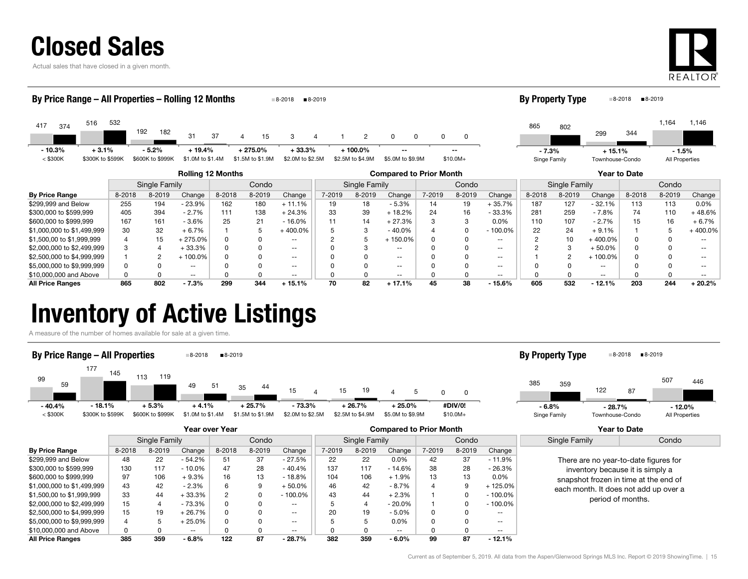Actual sales that have closed in a given month.



| By Price Range – All Properties – Rolling 12 Months<br>■8-2019<br>8-2018 |                      |                  |                  |                        |                  |                          |               |                                |                   |          | By Property Type |                          |               | ■8-2019<br>8-2018 |                   |         |                |                   |  |
|--------------------------------------------------------------------------|----------------------|------------------|------------------|------------------------|------------------|--------------------------|---------------|--------------------------------|-------------------|----------|------------------|--------------------------|---------------|-------------------|-------------------|---------|----------------|-------------------|--|
| 516<br>417<br>374                                                        | 532                  | 192<br>182       | 31               | 37                     | 15<br>Δ          | 3                        |               | $\overline{2}$                 | $\Omega$          | $\Omega$ | 0                |                          | 865           | 802               | 299               | 344     | 1,164          | 1,146             |  |
| $-10.3%$<br>$+3.1%$                                                      | $-5.2%$<br>$+19.4%$  |                  |                  | $+275.0\%$<br>$+33.3%$ |                  | $+100.0\%$               |               |                                |                   |          |                  | $-7.3%$                  |               | $+15.1%$          |                   | $-1.5%$ |                |                   |  |
| $<$ \$300K<br>\$300K to \$599K                                           |                      | \$600K to \$999K | \$1.0M to \$1.4M |                        | \$1.5M to \$1.9M | \$2.0M to \$2.5M         |               | \$2.5M to \$4.9M               | \$5.0M to \$9.9M  |          | $$10.0M+$        |                          | Singe Family  |                   | Townhouse-Condo   |         | All Properties |                   |  |
| <b>Rolling 12 Months</b>                                                 |                      |                  |                  |                        |                  |                          |               | <b>Compared to Prior Month</b> |                   |          |                  |                          |               |                   | Year to Date      |         |                |                   |  |
|                                                                          | <b>Single Family</b> |                  |                  | Condo                  |                  |                          | Single Family |                                |                   | Condo    |                  |                          | Single Family |                   | Condo             |         |                |                   |  |
| <b>By Price Range</b>                                                    | 8-2018               | 8-2019           | Change           | 8-2018                 | 8-2019           | Change                   | 7-2019        | 8-2019                         | Change            | 7-2019   | 8-2019           | Change                   | 8-2018        | 8-2019            | Change            | 8-2018  | 8-2019         | Change            |  |
| \$299,999 and Below                                                      | 255                  | 194              | $-23.9%$         | 162                    | 180              | $+11.1%$                 | 19            | 18                             | $-5.3%$           | 14       | 19               | $+35.7%$                 | 187           | 127               | $-32.1%$          | 113     | 113            | $0.0\%$           |  |
| \$300,000 to \$599,999                                                   | 405                  | 394              | $-2.7%$          | 111                    | 138              | $+24.3%$                 | 33            | 39                             | $+18.2%$          | 24       | 16               | $-33.3%$                 | 281           | 259               | $-7.8%$           | 74      | 110            | $+48.6%$          |  |
| \$600,000 to \$999,999                                                   | 167                  | 161              | $-3.6%$          | 25                     | 21               | $-16.0%$                 |               | 14                             | $+27.3%$          |          | 3                | 0.0%                     | 110           | 107               | $-2.7%$           | 15      | 16             | $+6.7%$           |  |
| \$1,000,000 to \$1,499,999                                               | 30                   | 32               | $+6.7%$          |                        | 5                | $+400.0\%$               |               | 3                              | $-40.0%$          |          |                  | $-100.0%$                | 22            | 24                | $+9.1%$           |         |                | 400.0%            |  |
| \$1,500,00 to \$1,999,999                                                |                      | 15               | $+275.0%$        | <sup>0</sup>           |                  | $\overline{\phantom{a}}$ |               | 5                              | $+150.0%$         |          |                  | $\sim$ $\sim$            |               | 10                | $+400.0%$         |         |                | $\qquad \qquad -$ |  |
| \$2,000,000 to \$2,499,999                                               | 3                    | 4                | $+33.3%$         | $\Omega$               |                  | $\overline{\phantom{a}}$ |               | 3                              | $\qquad \qquad -$ |          |                  | $\sim$ $\sim$            |               | 3                 | $+50.0\%$         |         |                |                   |  |
| \$2,500,000 to \$4,999,999                                               |                      | 2                | $+100.0%$        |                        |                  | $\sim$ $\sim$            |               |                                | $- -$             |          |                  | $\sim$ $\sim$            |               | 2                 | $+100.0\%$        |         |                |                   |  |
| \$5,000,000 to \$9,999,999                                               |                      |                  | $- -$            |                        |                  | $\overline{\phantom{a}}$ |               |                                | $- -$             |          |                  | $\sim$ $\sim$            |               |                   | $\qquad \qquad -$ |         |                |                   |  |
| \$10,000,000 and Above                                                   |                      | $\Omega$         | $\sim$ $\sim$    |                        |                  | $\overline{\phantom{a}}$ |               |                                | $\qquad \qquad -$ |          |                  | $\overline{\phantom{m}}$ |               |                   | $\qquad \qquad -$ |         |                | $\qquad \qquad -$ |  |
| All Price Ranges                                                         | 865                  | 802              | $-7.3%$          | 299                    | 344              | $+15.1%$                 | 70            | 82                             | $+17.1%$          | 45       | 38               | $-15.6%$                 | 605           | 532               | $-12.1%$          | 203     | 244            | $+20.2%$          |  |

All Price Ranges 865 802 - 7.3% 299 344 + 15.1% 70 82 + 17.1% 45 38 - 15.6% 605 532 - 12.1% 203 244 + 20.2%

#### Inventory of Active Listings

A measure of the number of homes available for sale at a given time.



|                            | <b>Year over Year</b> |               |          |        |        |                          |        |               | <b>Compared to Prior Month</b> |        |        | Year to Date |                                  |                                       |  |
|----------------------------|-----------------------|---------------|----------|--------|--------|--------------------------|--------|---------------|--------------------------------|--------|--------|--------------|----------------------------------|---------------------------------------|--|
|                            |                       | Single Family |          |        | Condo  |                          |        | Single Family |                                | Condo  |        |              | Single Family                    | Condo                                 |  |
| <b>By Price Range</b>      | 8-2018                | 8-2019        | Change   | 8-2018 | 8-2019 | Change                   | 7-2019 | 8-2019        | Change                         | 7-2019 | 8-2019 | Change       |                                  |                                       |  |
| \$299,999 and Below        | 48                    | 22            | $-54.2%$ | 51     | 37     | $-27.5%$                 | 22     | 22            | $0.0\%$                        | 42     | 37     | $-11.9%$     |                                  | There are no year-to-date figures for |  |
| \$300,000 to \$599,999     | 130                   | 117           | $-10.0%$ | 47     | 28     | $-40.4%$                 | 137    | 117           | $-14.6%$                       | 38     | 28     | $-26.3%$     | inventory because it is simply a |                                       |  |
| \$600,000 to \$999,999     | 97                    | 106           | $+9.3%$  | 16     | 13     | $-18.8%$                 | 104    | 106           | $+1.9%$                        | 13     | 13     | $0.0\%$      |                                  | snapshot frozen in time at the end of |  |
| \$1,000,000 to \$1,499,999 | 43                    | 42            | $-2.3%$  | 6      |        | $+50.0%$                 | 46     | 42            | - 8.7%                         |        | 9      | $-125.0\%$   |                                  | each month. It does not add up over a |  |
| \$1,500,00 to \$1,999,999  | 33                    | 44            | + 33.3%  | 2      |        | - 100.0%                 | 43     | 44            | $+2.3%$                        |        |        | $-100.0\%$   |                                  | period of months.                     |  |
| \$2,000,000 to \$2,499,999 | 15                    |               | - 73.3%  | 0      |        | $\overline{\phantom{a}}$ |        | ▵             | $-20.0\%$                      |        |        | $-100.0\%$   |                                  |                                       |  |
| \$2,500,000 to \$4,999,999 | 15                    | 19            | $+26.7%$ | 0      |        | $\overline{\phantom{a}}$ | 20     | 19            | $-5.0%$                        |        |        | $- -$        |                                  |                                       |  |
| \$5,000,000 to \$9,999,999 | 4                     |               | 25.0%    | 0      |        | $- -$                    |        |               | 0.0%                           |        |        | $- -$        |                                  |                                       |  |
| \$10,000,000 and Above     | 0                     |               | $- -$    |        |        | $\overline{\phantom{a}}$ |        |               | $- -$                          |        |        | $- -$        |                                  |                                       |  |
| <b>All Price Ranges</b>    | 385                   | 359           | - 6.8%   | 122    | 87     | $-28.7%$                 | 382    | 359           | $-6.0\%$                       | 99     | 87     | $-12.1%$     |                                  |                                       |  |